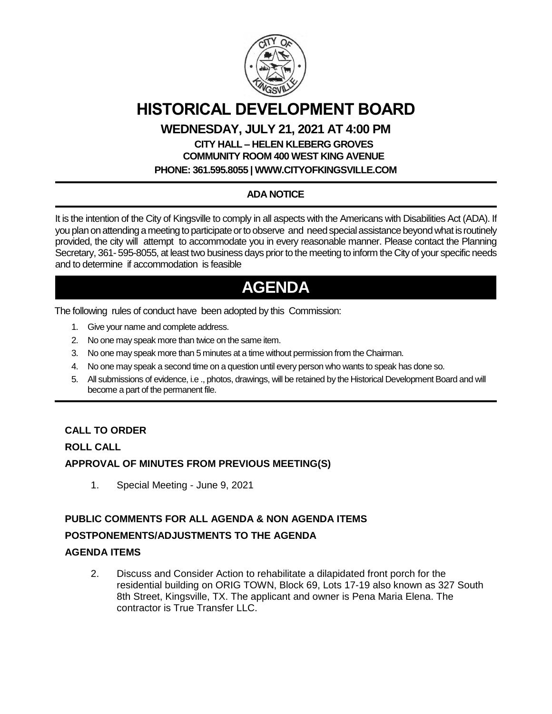

# **HISTORICAL DEVELOPMENT BOARD**

### **WEDNESDAY, JULY 21, 2021 AT 4:00 PM**

## **CITY HALL – HELEN KLEBERG GROVES COMMUNITY ROOM 400 WEST KING AVENUE**

**PHONE: 361.595.8055 | WWW.CITYOFKINGSVILLE.COM**

### **ADA NOTICE**

It is the intention of the City of Kingsville to comply in all aspects with the Americans with Disabilities Act (ADA). If you plan on attending a meeting to participate or to observe and need special assistance beyond what is routinely provided, the city will attempt to accommodate you in every reasonable manner. Please contact the Planning Secretary, 361- 595-8055, at least two business days prior to the meeting to inform the City of your specific needs and to determine if accommodation is feasible

# **AGENDA**

The following rules of conduct have been adopted by this Commission:

- 1. Give your name and complete address.
- 2. No one may speak more than twice on the same item.
- 3. No one may speak more than 5 minutes at a time without permission from the Chairman.
- 4. No one may speak a second time on a question until every person who wants to speak has done so.
- 5. All submissions of evidence, i.e ., photos, drawings, will be retained by the Historical Development Board and will become a part of the permanent file.

#### **CALL TO ORDER**

#### **ROLL CALL**

#### **APPROVAL OF MINUTES FROM PREVIOUS MEETING(S)**

1. Special Meeting - June 9, 2021

#### **PUBLIC COMMENTS FOR ALL AGENDA & NON AGENDA ITEMS POSTPONEMENTS/ADJUSTMENTS TO THE AGENDA**

#### **AGENDA ITEMS**

2. Discuss and Consider Action to rehabilitate a dilapidated front porch for the residential building on ORIG TOWN, Block 69, Lots 17-19 also known as 327 South 8th Street, Kingsville, TX. The applicant and owner is Pena Maria Elena. The contractor is True Transfer LLC.